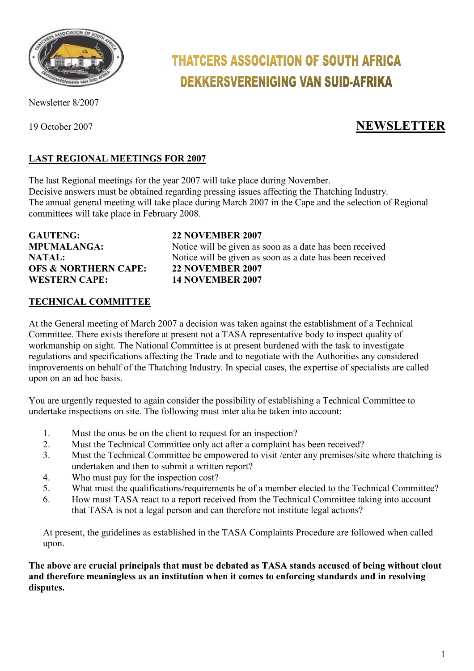

#### Newsletter 8/2007

## **THATCERS ASSOCIATION OF SOUTH AFRICA DEKKERSVERENIGING VAN SUID-AFRIKA**

### 19 October 2007 **NEWSLETTER**

#### **LAST REGIONAL MEETINGS FOR 2007**

The last Regional meetings for the year 2007 will take place during November. Decisive answers must be obtained regarding pressing issues affecting the Thatching Industry. The annual general meeting will take place during March 2007 in the Cape and the selection of Regional committees will take place in February 2008.

**GAUTENG: 22 NOVEMBER 2007 OFS & NORTHERN CAPE:** 22 NOVEMBER 2007<br>WESTERN CAPE: 14 NOVEMBER 2007 **WESTERN CAPE:** 

# **MPUMALANGA:** Notice will be given as soon as a date has been received **NATAL:** Notice will be given as soon as a date has been received

#### **TECHNICAL COMMITTEE**

At the General meeting of March 2007 a decision was taken against the establishment of a Technical Committee. There exists therefore at present not a TASA representative body to inspect quality of workmanship on sight. The National Committee is at present burdened with the task to investigate regulations and specifications affecting the Trade and to negotiate with the Authorities any considered improvements on behalf of the Thatching Industry. In special cases, the expertise of specialists are called upon on an ad hoc basis.

You are urgently requested to again consider the possibility of establishing a Technical Committee to undertake inspections on site. The following must inter alia be taken into account:

- 1. Must the onus be on the client to request for an inspection?
- 2. Must the Technical Committee only act after a complaint has been received?
- 3. Must the Technical Committee be empowered to visit /enter any premises/site where thatching is undertaken and then to submit a written report?
- 4. Who must pay for the inspection cost?
- 5. What must the qualifications/requirements be of a member elected to the Technical Committee?
- 6. How must TASA react to a report received from the Technical Committee taking into account that TASA is not a legal person and can therefore not institute legal actions?

At present, the guidelines as established in the TASA Complaints Procedure are followed when called upon.

**The above are crucial principals that must be debated as TASA stands accused of being without clout and therefore meaningless as an institution when it comes to enforcing standards and in resolving disputes.**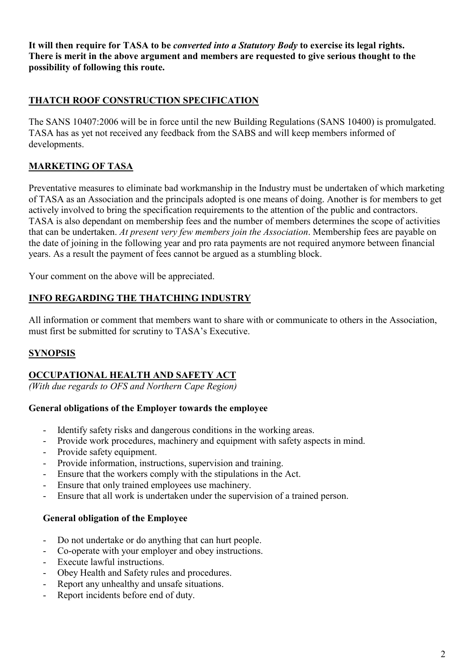**It will then require for TASA to be** *converted into a Statutory Body* **to exercise its legal rights. There is merit in the above argument and members are requested to give serious thought to the possibility of following this route.** 

#### **THATCH ROOF CONSTRUCTION SPECIFICATION**

The SANS 10407:2006 will be in force until the new Building Regulations (SANS 10400) is promulgated. TASA has as yet not received any feedback from the SABS and will keep members informed of developments.

#### **MARKETING OF TASA**

Preventative measures to eliminate bad workmanship in the Industry must be undertaken of which marketing of TASA as an Association and the principals adopted is one means of doing. Another is for members to get actively involved to bring the specification requirements to the attention of the public and contractors. TASA is also dependant on membership fees and the number of members determines the scope of activities that can be undertaken. *At present very few members join the Association*. Membership fees are payable on the date of joining in the following year and pro rata payments are not required anymore between financial years. As a result the payment of fees cannot be argued as a stumbling block.

Your comment on the above will be appreciated.

#### **INFO REGARDING THE THATCHING INDUSTRY**

All information or comment that members want to share with or communicate to others in the Association, must first be submitted for scrutiny to TASA's Executive.

#### **SYNOPSIS**

#### **OCCUPATIONAL HEALTH AND SAFETY ACT**

*(With due regards to OFS and Northern Cape Region)* 

#### **General obligations of the Employer towards the employee**

- Identify safety risks and dangerous conditions in the working areas.
- Provide work procedures, machinery and equipment with safety aspects in mind.
- Provide safety equipment.
- Provide information, instructions, supervision and training.
- Ensure that the workers comply with the stipulations in the Act.
- Ensure that only trained employees use machinery.
- Ensure that all work is undertaken under the supervision of a trained person.

#### **General obligation of the Employee**

- Do not undertake or do anything that can hurt people.
- Co-operate with your employer and obey instructions.
- Execute lawful instructions.
- Obey Health and Safety rules and procedures.
- Report any unhealthy and unsafe situations.
- Report incidents before end of duty.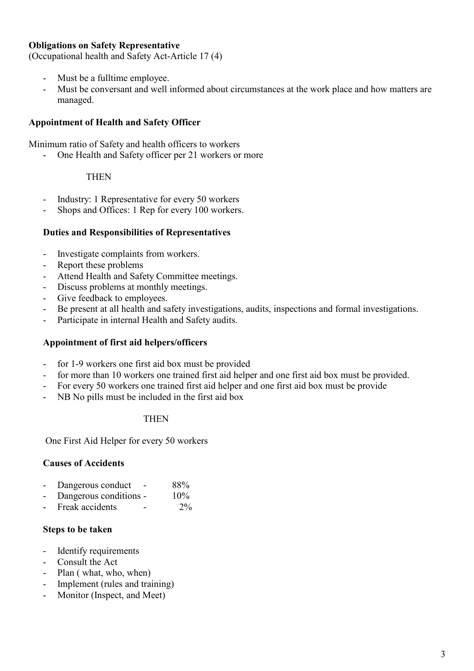#### **Obligations on Safety Representative**

(Occupational health and Safety Act-Article 17 (4)

- Must be a fulltime employee.
- Must be conversant and well informed about circumstances at the work place and how matters are managed.

#### **Appointment of Health and Safety Officer**

Minimum ratio of Safety and health officers to workers

- One Health and Safety officer per 21 workers or more

#### **THEN**

- Industry: 1 Representative for every 50 workers
- Shops and Offices: 1 Rep for every 100 workers.

#### **Duties and Responsibilities of Representatives**

- Investigate complaints from workers.
- Report these problems
- Attend Health and Safety Committee meetings.
- Discuss problems at monthly meetings.
- Give feedback to employees.
- Be present at all health and safety investigations, audits, inspections and formal investigations.
- Participate in internal Health and Safety audits.

#### **Appointment of first aid helpers/officers**

- for 1-9 workers one first aid box must be provided
- for more than 10 workers one trained first aid helper and one first aid box must be provided.
- For every 50 workers one trained first aid helper and one first aid box must be provide
- NB No pills must be included in the first aid box

#### **THEN**

One First Aid Helper for every 50 workers

#### **Causes of Accidents**

- Dangerous conduct 88%
- Dangerous conditions 10%
- Freak accidents 2%

#### **Steps to be taken**

- Identify requirements
- Consult the Act
- Plan ( what, who, when)
- Implement (rules and training)
- Monitor (Inspect, and Meet)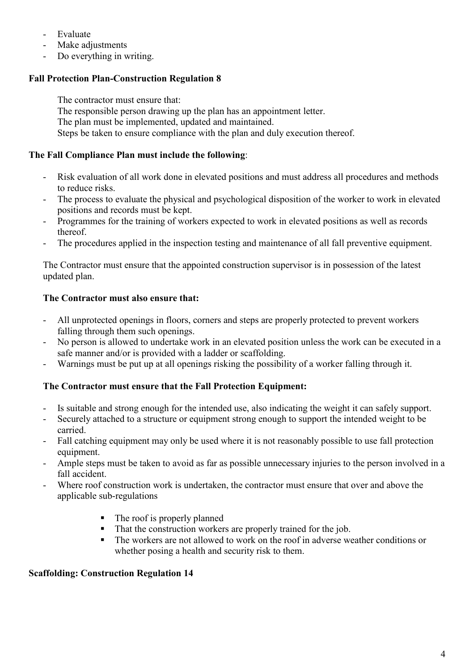- Evaluate
- Make adjustments
- Do everything in writing.

#### **Fall Protection Plan-Construction Regulation 8**

The contractor must ensure that: The responsible person drawing up the plan has an appointment letter. The plan must be implemented, updated and maintained. Steps be taken to ensure compliance with the plan and duly execution thereof.

#### **The Fall Compliance Plan must include the following**:

- Risk evaluation of all work done in elevated positions and must address all procedures and methods to reduce risks.
- The process to evaluate the physical and psychological disposition of the worker to work in elevated positions and records must be kept.
- Programmes for the training of workers expected to work in elevated positions as well as records thereof.
- The procedures applied in the inspection testing and maintenance of all fall preventive equipment.

The Contractor must ensure that the appointed construction supervisor is in possession of the latest updated plan.

#### **The Contractor must also ensure that:**

- All unprotected openings in floors, corners and steps are properly protected to prevent workers falling through them such openings.
- No person is allowed to undertake work in an elevated position unless the work can be executed in a safe manner and/or is provided with a ladder or scaffolding.
- Warnings must be put up at all openings risking the possibility of a worker falling through it.

#### **The Contractor must ensure that the Fall Protection Equipment:**

- Is suitable and strong enough for the intended use, also indicating the weight it can safely support.
- Securely attached to a structure or equipment strong enough to support the intended weight to be carried.
- Fall catching equipment may only be used where it is not reasonably possible to use fall protection equipment.
- Ample steps must be taken to avoid as far as possible unnecessary injuries to the person involved in a fall accident.
- Where roof construction work is undertaken, the contractor must ensure that over and above the applicable sub-regulations
	- The roof is properly planned
	- That the construction workers are properly trained for the job.
	- The workers are not allowed to work on the roof in adverse weather conditions or whether posing a health and security risk to them.

#### **Scaffolding: Construction Regulation 14**